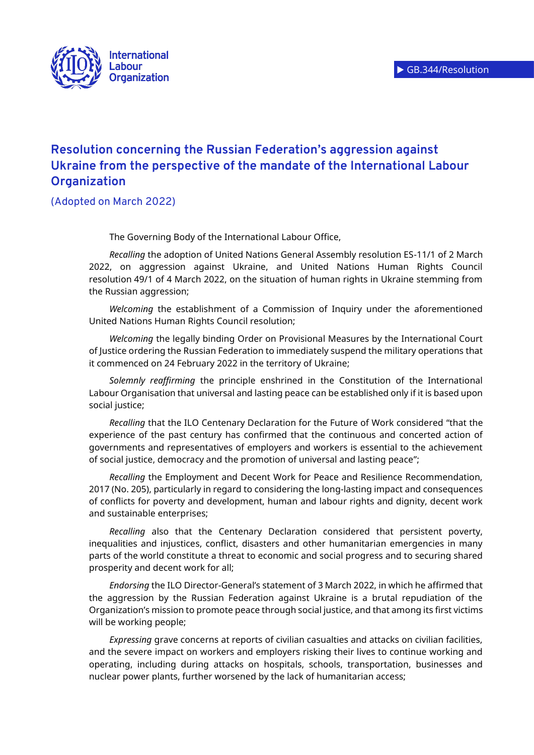

## **Resolution concerning the Russian Federation's aggression against Ukraine from the perspective of the mandate of the International Labour Organization**

(Adopted on March 2022)

The Governing Body of the International Labour Office,

*Recalling* the adoption of United Nations General Assembly resolution ES-11/1 of 2 March 2022, on aggression against Ukraine, and United Nations Human Rights Council resolution 49/1 of 4 March 2022, on the situation of human rights in Ukraine stemming from the Russian aggression;

*Welcoming* the establishment of a Commission of Inquiry under the aforementioned United Nations Human Rights Council resolution;

*Welcoming* the legally binding Order on Provisional Measures by the International Court of Justice ordering the Russian Federation to immediately suspend the military operations that it commenced on 24 February 2022 in the territory of Ukraine;

*Solemnly reaffirming* the principle enshrined in the Constitution of the International Labour Organisation that universal and lasting peace can be established only if it is based upon social justice;

*Recalling* that the ILO Centenary Declaration for the Future of Work considered "that the experience of the past century has confirmed that the continuous and concerted action of governments and representatives of employers and workers is essential to the achievement of social justice, democracy and the promotion of universal and lasting peace";

*Recalling* the Employment and Decent Work for Peace and Resilience Recommendation, 2017 (No. 205), particularly in regard to considering the long-lasting impact and consequences of conflicts for poverty and development, human and labour rights and dignity, decent work and sustainable enterprises;

*Recalling* also that the Centenary Declaration considered that persistent poverty, inequalities and injustices, conflict, disasters and other humanitarian emergencies in many parts of the world constitute a threat to economic and social progress and to securing shared prosperity and decent work for all;

*Endorsing* the ILO Director-General's statement of 3 March 2022, in which he affirmed that the aggression by the Russian Federation against Ukraine is a brutal repudiation of the Organization's mission to promote peace through social justice, and that among its first victims will be working people;

*Expressing* grave concerns at reports of civilian casualties and attacks on civilian facilities, and the severe impact on workers and employers risking their lives to continue working and operating, including during attacks on hospitals, schools, transportation, businesses and nuclear power plants, further worsened by the lack of humanitarian access;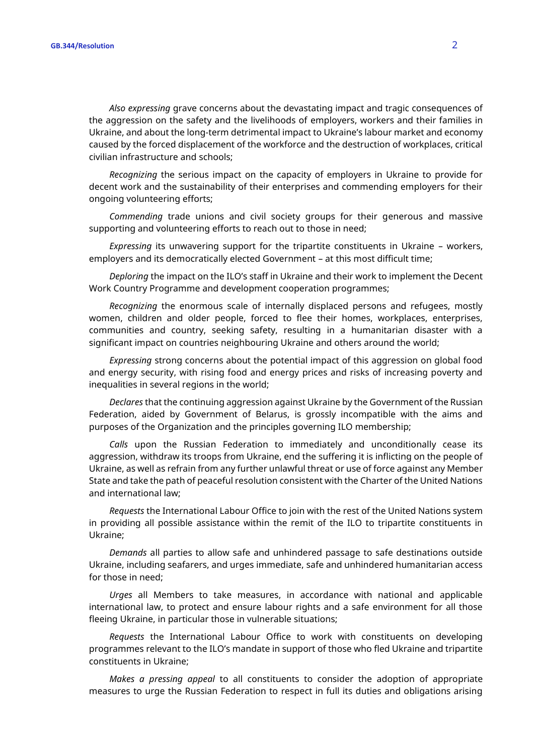*Also expressing* grave concerns about the devastating impact and tragic consequences of the aggression on the safety and the livelihoods of employers, workers and their families in Ukraine, and about the long-term detrimental impact to Ukraine's labour market and economy caused by the forced displacement of the workforce and the destruction of workplaces, critical civilian infrastructure and schools;

*Recognizing* the serious impact on the capacity of employers in Ukraine to provide for decent work and the sustainability of their enterprises and commending employers for their ongoing volunteering efforts;

*Commending* trade unions and civil society groups for their generous and massive supporting and volunteering efforts to reach out to those in need;

*Expressing* its unwavering support for the tripartite constituents in Ukraine – workers, employers and its democratically elected Government – at this most difficult time;

*Deploring* the impact on the ILO's staff in Ukraine and their work to implement the Decent Work Country Programme and development cooperation programmes;

*Recognizing* the enormous scale of internally displaced persons and refugees, mostly women, children and older people, forced to flee their homes, workplaces, enterprises, communities and country, seeking safety, resulting in a humanitarian disaster with a significant impact on countries neighbouring Ukraine and others around the world;

*Expressing* strong concerns about the potential impact of this aggression on global food and energy security, with rising food and energy prices and risks of increasing poverty and inequalities in several regions in the world;

*Declares* that the continuing aggression against Ukraine by the Government of the Russian Federation, aided by Government of Belarus, is grossly incompatible with the aims and purposes of the Organization and the principles governing ILO membership;

*Calls* upon the Russian Federation to immediately and unconditionally cease its aggression, withdraw its troops from Ukraine, end the suffering it is inflicting on the people of Ukraine, as well as refrain from any further unlawful threat or use of force against any Member State and take the path of peaceful resolution consistent with the Charter of the United Nations and international law;

*Requests* the International Labour Office to join with the rest of the United Nations system in providing all possible assistance within the remit of the ILO to tripartite constituents in Ukraine;

*Demands* all parties to allow safe and unhindered passage to safe destinations outside Ukraine, including seafarers, and urges immediate, safe and unhindered humanitarian access for those in need;

*Urges* all Members to take measures, in accordance with national and applicable international law, to protect and ensure labour rights and a safe environment for all those fleeing Ukraine, in particular those in vulnerable situations;

*Requests* the International Labour Office to work with constituents on developing programmes relevant to the ILO's mandate in support of those who fled Ukraine and tripartite constituents in Ukraine;

*Makes a pressing appeal* to all constituents to consider the adoption of appropriate measures to urge the Russian Federation to respect in full its duties and obligations arising